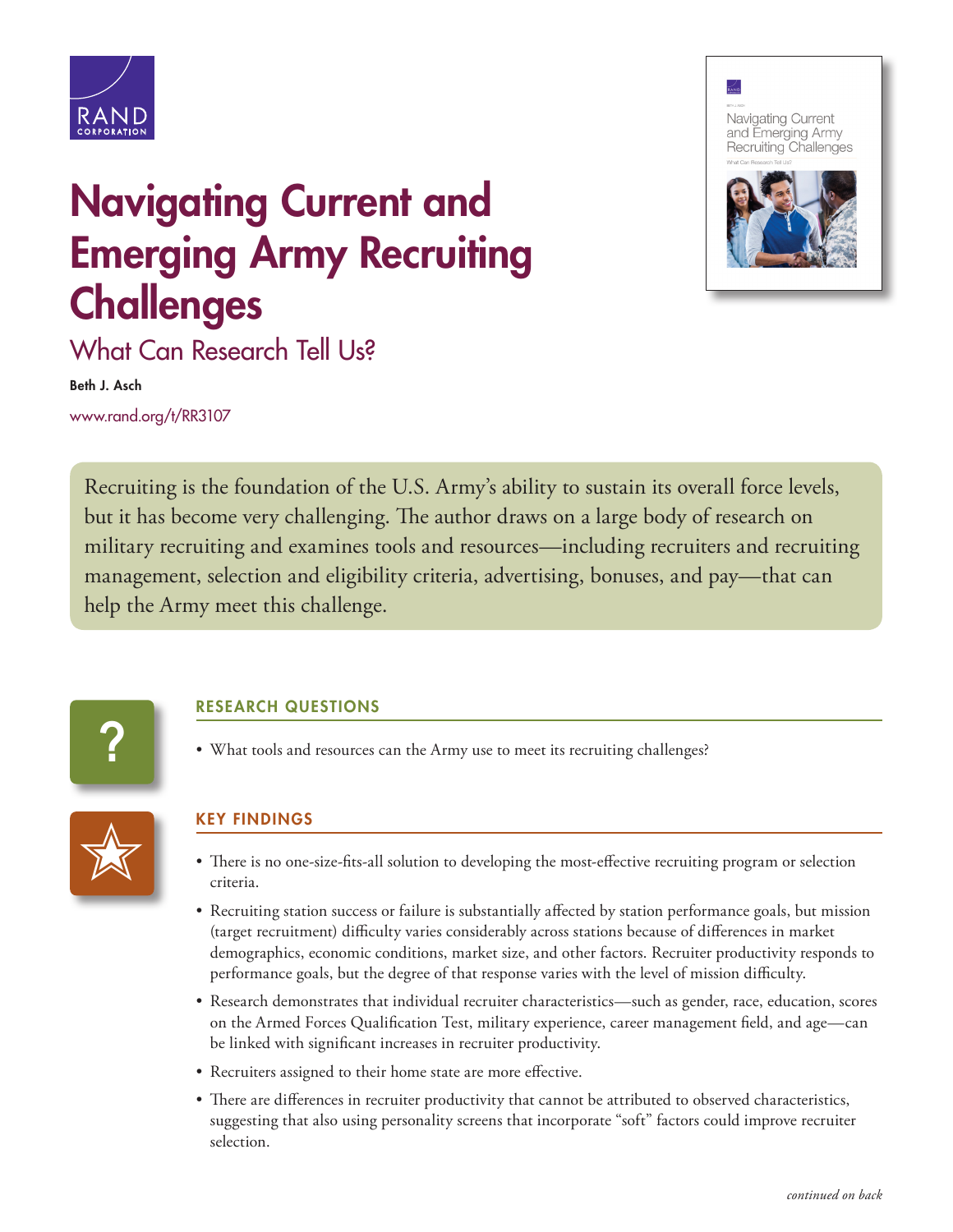

## Navigating Current and Emerging Army Recruiting **Challenges**





What Can Research Tell Us?

Beth J. Asch

[www.rand.org/t/RR3107](http://www.rand.org/t/RR3107)

Recruiting is the foundation of the U.S. Army's ability to sustain its overall force levels, but it has become very challenging. The author draws on a large body of research on military recruiting and examines tools and resources—including recruiters and recruiting management, selection and eligibility criteria, advertising, bonuses, and pay—that can help the Army meet this challenge.



## RESEARCH QUESTIONS

• What tools and resources can the Army use to meet its recruiting challenges?



## KEY FINDINGS

- There is no one-size-fits-all solution to developing the most-effective recruiting program or selection criteria.
- Recruiting station success or failure is substantially affected by station performance goals, but mission (target recruitment) difficulty varies considerably across stations because of differences in market demographics, economic conditions, market size, and other factors. Recruiter productivity responds to performance goals, but the degree of that response varies with the level of mission difficulty.
- Research demonstrates that individual recruiter characteristics—such as gender, race, education, scores on the Armed Forces Qualification Test, military experience, career management field, and age—can be linked with significant increases in recruiter productivity.
- Recruiters assigned to their home state are more effective.
- There are differences in recruiter productivity that cannot be attributed to observed characteristics, suggesting that also using personality screens that incorporate "soft" factors could improve recruiter selection.